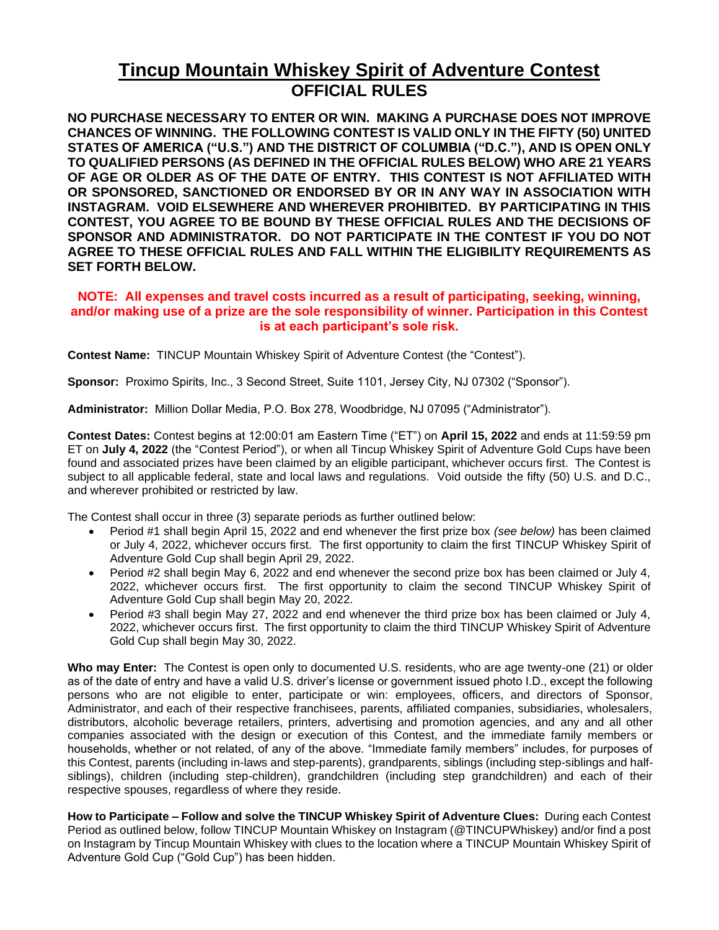## **Tincup Mountain Whiskey Spirit of Adventure Contest OFFICIAL RULES**

**NO PURCHASE NECESSARY TO ENTER OR WIN. MAKING A PURCHASE DOES NOT IMPROVE CHANCES OF WINNING. THE FOLLOWING CONTEST IS VALID ONLY IN THE FIFTY (50) UNITED STATES OF AMERICA ("U.S.") AND THE DISTRICT OF COLUMBIA ("D.C."), AND IS OPEN ONLY TO QUALIFIED PERSONS (AS DEFINED IN THE OFFICIAL RULES BELOW) WHO ARE 21 YEARS OF AGE OR OLDER AS OF THE DATE OF ENTRY. THIS CONTEST IS NOT AFFILIATED WITH OR SPONSORED, SANCTIONED OR ENDORSED BY OR IN ANY WAY IN ASSOCIATION WITH INSTAGRAM. VOID ELSEWHERE AND WHEREVER PROHIBITED. BY PARTICIPATING IN THIS CONTEST, YOU AGREE TO BE BOUND BY THESE OFFICIAL RULES AND THE DECISIONS OF SPONSOR AND ADMINISTRATOR. DO NOT PARTICIPATE IN THE CONTEST IF YOU DO NOT AGREE TO THESE OFFICIAL RULES AND FALL WITHIN THE ELIGIBILITY REQUIREMENTS AS SET FORTH BELOW.** 

## **NOTE: All expenses and travel costs incurred as a result of participating, seeking, winning, and/or making use of a prize are the sole responsibility of winner. Participation in this Contest is at each participant's sole risk.**

**Contest Name:** TINCUP Mountain Whiskey Spirit of Adventure Contest (the "Contest").

**Sponsor:** Proximo Spirits, Inc., 3 Second Street, Suite 1101, Jersey City, NJ 07302 ("Sponsor").

**Administrator:** Million Dollar Media, P.O. Box 278, Woodbridge, NJ 07095 ("Administrator").

**Contest Dates:** Contest begins at 12:00:01 am Eastern Time ("ET") on **April 15, 2022** and ends at 11:59:59 pm ET on **July 4, 2022** (the "Contest Period"), or when all Tincup Whiskey Spirit of Adventure Gold Cups have been found and associated prizes have been claimed by an eligible participant, whichever occurs first. The Contest is subject to all applicable federal, state and local laws and regulations. Void outside the fifty (50) U.S. and D.C., and wherever prohibited or restricted by law.

The Contest shall occur in three (3) separate periods as further outlined below:

- Period #1 shall begin April 15, 2022 and end whenever the first prize box *(see below)* has been claimed or July 4, 2022, whichever occurs first. The first opportunity to claim the first TINCUP Whiskey Spirit of Adventure Gold Cup shall begin April 29, 2022.
- Period #2 shall begin May 6, 2022 and end whenever the second prize box has been claimed or July 4, 2022, whichever occurs first. The first opportunity to claim the second TINCUP Whiskey Spirit of Adventure Gold Cup shall begin May 20, 2022.
- Period #3 shall begin May 27, 2022 and end whenever the third prize box has been claimed or July 4, 2022, whichever occurs first. The first opportunity to claim the third TINCUP Whiskey Spirit of Adventure Gold Cup shall begin May 30, 2022.

**Who may Enter:** The Contest is open only to documented U.S. residents, who are age twenty-one (21) or older as of the date of entry and have a valid U.S. driver's license or government issued photo I.D., except the following persons who are not eligible to enter, participate or win: employees, officers, and directors of Sponsor, Administrator, and each of their respective franchisees, parents, affiliated companies, subsidiaries, wholesalers, distributors, alcoholic beverage retailers, printers, advertising and promotion agencies, and any and all other companies associated with the design or execution of this Contest, and the immediate family members or households, whether or not related, of any of the above. "Immediate family members" includes, for purposes of this Contest, parents (including in-laws and step-parents), grandparents, siblings (including step-siblings and halfsiblings), children (including step-children), grandchildren (including step grandchildren) and each of their respective spouses, regardless of where they reside.

**How to Participate – Follow and solve the TINCUP Whiskey Spirit of Adventure Clues:** During each Contest Period as outlined below, follow TINCUP Mountain Whiskey on Instagram (@TINCUPWhiskey) and/or find a post on Instagram by Tincup Mountain Whiskey with clues to the location where a TINCUP Mountain Whiskey Spirit of Adventure Gold Cup ("Gold Cup") has been hidden.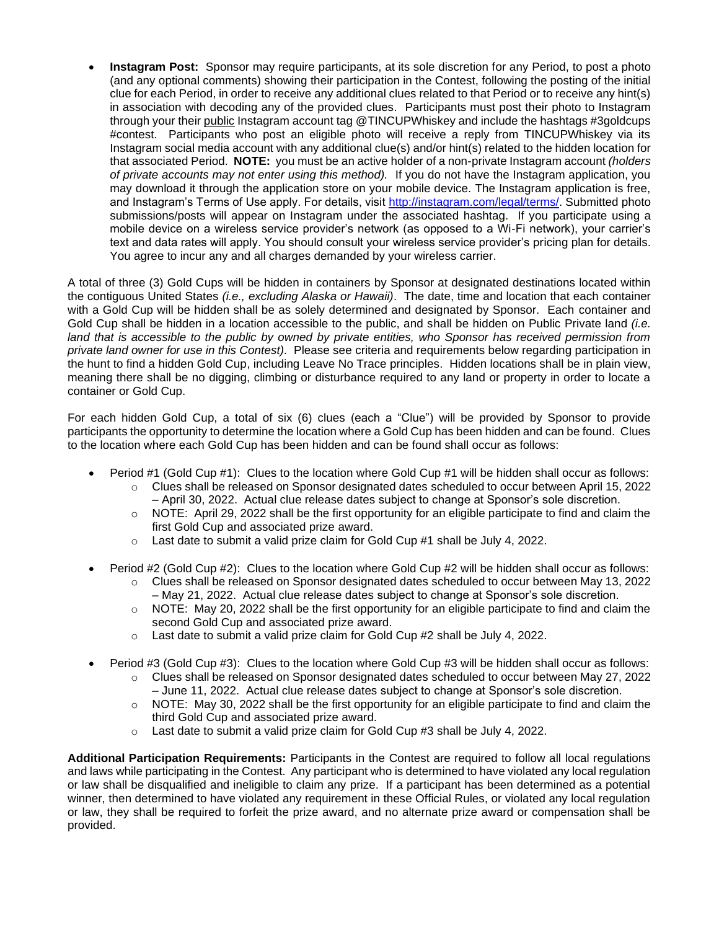• **Instagram Post:** Sponsor may require participants, at its sole discretion for any Period, to post a photo (and any optional comments) showing their participation in the Contest, following the posting of the initial clue for each Period, in order to receive any additional clues related to that Period or to receive any hint(s) in association with decoding any of the provided clues. Participants must post their photo to Instagram through your their public Instagram account tag @TINCUPWhiskey and include the hashtags #3goldcups #contest. Participants who post an eligible photo will receive a reply from TINCUPWhiskey via its Instagram social media account with any additional clue(s) and/or hint(s) related to the hidden location for that associated Period. **NOTE:** you must be an active holder of a non-private Instagram account *(holders of private accounts may not enter using this method).* If you do not have the Instagram application, you may download it through the application store on your mobile device. The Instagram application is free, and Instagram's Terms of Use apply. For details, visit [http://instagram.com/legal/terms/.](http://instagram.com/legal/terms/) Submitted photo submissions/posts will appear on Instagram under the associated hashtag. If you participate using a mobile device on a wireless service provider's network (as opposed to a Wi-Fi network), your carrier's text and data rates will apply. You should consult your wireless service provider's pricing plan for details. You agree to incur any and all charges demanded by your wireless carrier.

A total of three (3) Gold Cups will be hidden in containers by Sponsor at designated destinations located within the contiguous United States *(i.e., excluding Alaska or Hawaii)*. The date, time and location that each container with a Gold Cup will be hidden shall be as solely determined and designated by Sponsor. Each container and Gold Cup shall be hidden in a location accessible to the public, and shall be hidden on Public Private land *(i.e. land that is accessible to the public by owned by private entities, who Sponsor has received permission from private land owner for use in this Contest).* Please see criteria and requirements below regarding participation in the hunt to find a hidden Gold Cup, including Leave No Trace principles. Hidden locations shall be in plain view, meaning there shall be no digging, climbing or disturbance required to any land or property in order to locate a container or Gold Cup.

For each hidden Gold Cup, a total of six (6) clues (each a "Clue") will be provided by Sponsor to provide participants the opportunity to determine the location where a Gold Cup has been hidden and can be found. Clues to the location where each Gold Cup has been hidden and can be found shall occur as follows:

- Period #1 (Gold Cup #1): Clues to the location where Gold Cup #1 will be hidden shall occur as follows:
	- o Clues shall be released on Sponsor designated dates scheduled to occur between April 15, 2022 – April 30, 2022. Actual clue release dates subject to change at Sponsor's sole discretion.
	- o NOTE: April 29, 2022 shall be the first opportunity for an eligible participate to find and claim the first Gold Cup and associated prize award.
	- $\circ$  Last date to submit a valid prize claim for Gold Cup #1 shall be July 4, 2022.
- Period #2 (Gold Cup #2): Clues to the location where Gold Cup #2 will be hidden shall occur as follows:
	- $\circ$  Clues shall be released on Sponsor designated dates scheduled to occur between May 13, 2022 – May 21, 2022. Actual clue release dates subject to change at Sponsor's sole discretion.
	- $\circ$  NOTE: May 20, 2022 shall be the first opportunity for an eligible participate to find and claim the second Gold Cup and associated prize award.
	- $\circ$  Last date to submit a valid prize claim for Gold Cup #2 shall be July 4, 2022.
- Period #3 (Gold Cup #3): Clues to the location where Gold Cup #3 will be hidden shall occur as follows:
	- o Clues shall be released on Sponsor designated dates scheduled to occur between May 27, 2022 – June 11, 2022. Actual clue release dates subject to change at Sponsor's sole discretion.
	- $\circ$  NOTE: May 30, 2022 shall be the first opportunity for an eligible participate to find and claim the third Gold Cup and associated prize award.
	- o Last date to submit a valid prize claim for Gold Cup #3 shall be July 4, 2022.

**Additional Participation Requirements:** Participants in the Contest are required to follow all local regulations and laws while participating in the Contest. Any participant who is determined to have violated any local regulation or law shall be disqualified and ineligible to claim any prize. If a participant has been determined as a potential winner, then determined to have violated any requirement in these Official Rules, or violated any local regulation or law, they shall be required to forfeit the prize award, and no alternate prize award or compensation shall be provided.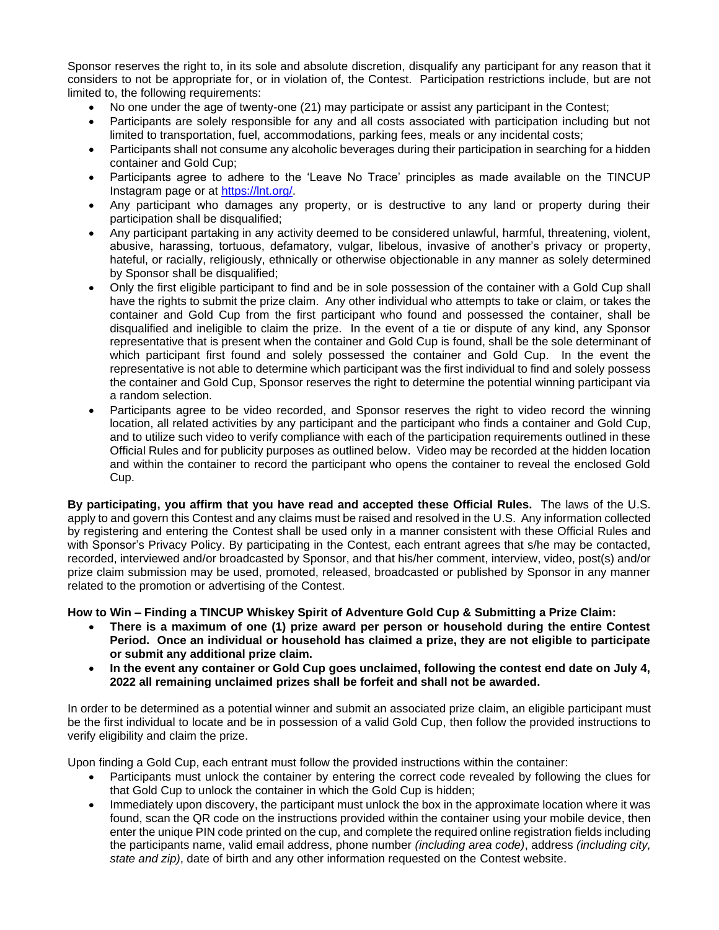Sponsor reserves the right to, in its sole and absolute discretion, disqualify any participant for any reason that it considers to not be appropriate for, or in violation of, the Contest. Participation restrictions include, but are not limited to, the following requirements:

- No one under the age of twenty-one (21) may participate or assist any participant in the Contest;
- Participants are solely responsible for any and all costs associated with participation including but not limited to transportation, fuel, accommodations, parking fees, meals or any incidental costs;
- Participants shall not consume any alcoholic beverages during their participation in searching for a hidden container and Gold Cup;
- Participants agree to adhere to the 'Leave No Trace' principles as made available on the TINCUP Instagram page or at [https://lnt.org/.](https://lnt.org/)
- Any participant who damages any property, or is destructive to any land or property during their participation shall be disqualified;
- Any participant partaking in any activity deemed to be considered unlawful, harmful, threatening, violent, abusive, harassing, tortuous, defamatory, vulgar, libelous, invasive of another's privacy or property, hateful, or racially, religiously, ethnically or otherwise objectionable in any manner as solely determined by Sponsor shall be disqualified;
- Only the first eligible participant to find and be in sole possession of the container with a Gold Cup shall have the rights to submit the prize claim. Any other individual who attempts to take or claim, or takes the container and Gold Cup from the first participant who found and possessed the container, shall be disqualified and ineligible to claim the prize. In the event of a tie or dispute of any kind, any Sponsor representative that is present when the container and Gold Cup is found, shall be the sole determinant of which participant first found and solely possessed the container and Gold Cup. In the event the representative is not able to determine which participant was the first individual to find and solely possess the container and Gold Cup, Sponsor reserves the right to determine the potential winning participant via a random selection.
- Participants agree to be video recorded, and Sponsor reserves the right to video record the winning location, all related activities by any participant and the participant who finds a container and Gold Cup, and to utilize such video to verify compliance with each of the participation requirements outlined in these Official Rules and for publicity purposes as outlined below. Video may be recorded at the hidden location and within the container to record the participant who opens the container to reveal the enclosed Gold Cup.

**By participating, you affirm that you have read and accepted these Official Rules.** The laws of the U.S. apply to and govern this Contest and any claims must be raised and resolved in the U.S. Any information collected by registering and entering the Contest shall be used only in a manner consistent with these Official Rules and with Sponsor's Privacy Policy. By participating in the Contest, each entrant agrees that s/he may be contacted, recorded, interviewed and/or broadcasted by Sponsor, and that his/her comment, interview, video, post(s) and/or prize claim submission may be used, promoted, released, broadcasted or published by Sponsor in any manner related to the promotion or advertising of the Contest.

**How to Win – Finding a TINCUP Whiskey Spirit of Adventure Gold Cup & Submitting a Prize Claim:** 

- **There is a maximum of one (1) prize award per person or household during the entire Contest Period. Once an individual or household has claimed a prize, they are not eligible to participate or submit any additional prize claim.**
- **In the event any container or Gold Cup goes unclaimed, following the contest end date on July 4, 2022 all remaining unclaimed prizes shall be forfeit and shall not be awarded.**

In order to be determined as a potential winner and submit an associated prize claim, an eligible participant must be the first individual to locate and be in possession of a valid Gold Cup, then follow the provided instructions to verify eligibility and claim the prize.

Upon finding a Gold Cup, each entrant must follow the provided instructions within the container:

- Participants must unlock the container by entering the correct code revealed by following the clues for that Gold Cup to unlock the container in which the Gold Cup is hidden;
- Immediately upon discovery, the participant must unlock the box in the approximate location where it was found, scan the QR code on the instructions provided within the container using your mobile device, then enter the unique PIN code printed on the cup, and complete the required online registration fields including the participants name, valid email address, phone number *(including area code)*, address *(including city, state and zip)*, date of birth and any other information requested on the Contest website.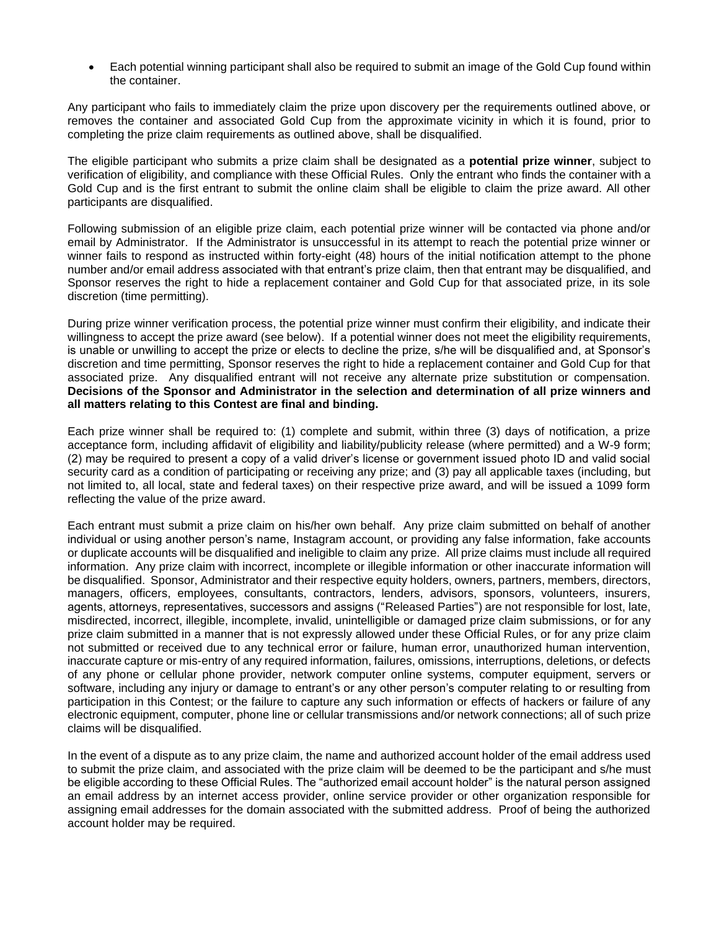• Each potential winning participant shall also be required to submit an image of the Gold Cup found within the container.

Any participant who fails to immediately claim the prize upon discovery per the requirements outlined above, or removes the container and associated Gold Cup from the approximate vicinity in which it is found, prior to completing the prize claim requirements as outlined above, shall be disqualified.

The eligible participant who submits a prize claim shall be designated as a **potential prize winner**, subject to verification of eligibility, and compliance with these Official Rules. Only the entrant who finds the container with a Gold Cup and is the first entrant to submit the online claim shall be eligible to claim the prize award. All other participants are disqualified.

Following submission of an eligible prize claim, each potential prize winner will be contacted via phone and/or email by Administrator. If the Administrator is unsuccessful in its attempt to reach the potential prize winner or winner fails to respond as instructed within forty-eight (48) hours of the initial notification attempt to the phone number and/or email address associated with that entrant's prize claim, then that entrant may be disqualified, and Sponsor reserves the right to hide a replacement container and Gold Cup for that associated prize, in its sole discretion (time permitting).

During prize winner verification process, the potential prize winner must confirm their eligibility, and indicate their willingness to accept the prize award (see below). If a potential winner does not meet the eligibility requirements, is unable or unwilling to accept the prize or elects to decline the prize, s/he will be disqualified and, at Sponsor's discretion and time permitting, Sponsor reserves the right to hide a replacement container and Gold Cup for that associated prize. Any disqualified entrant will not receive any alternate prize substitution or compensation. **Decisions of the Sponsor and Administrator in the selection and determination of all prize winners and all matters relating to this Contest are final and binding.** 

Each prize winner shall be required to: (1) complete and submit, within three (3) days of notification, a prize acceptance form, including affidavit of eligibility and liability/publicity release (where permitted) and a W-9 form; (2) may be required to present a copy of a valid driver's license or government issued photo ID and valid social security card as a condition of participating or receiving any prize; and (3) pay all applicable taxes (including, but not limited to, all local, state and federal taxes) on their respective prize award, and will be issued a 1099 form reflecting the value of the prize award.

Each entrant must submit a prize claim on his/her own behalf. Any prize claim submitted on behalf of another individual or using another person's name, Instagram account, or providing any false information, fake accounts or duplicate accounts will be disqualified and ineligible to claim any prize. All prize claims must include all required information. Any prize claim with incorrect, incomplete or illegible information or other inaccurate information will be disqualified. Sponsor, Administrator and their respective equity holders, owners, partners, members, directors, managers, officers, employees, consultants, contractors, lenders, advisors, sponsors, volunteers, insurers, agents, attorneys, representatives, successors and assigns ("Released Parties") are not responsible for lost, late, misdirected, incorrect, illegible, incomplete, invalid, unintelligible or damaged prize claim submissions, or for any prize claim submitted in a manner that is not expressly allowed under these Official Rules, or for any prize claim not submitted or received due to any technical error or failure, human error, unauthorized human intervention, inaccurate capture or mis-entry of any required information, failures, omissions, interruptions, deletions, or defects of any phone or cellular phone provider, network computer online systems, computer equipment, servers or software, including any injury or damage to entrant's or any other person's computer relating to or resulting from participation in this Contest; or the failure to capture any such information or effects of hackers or failure of any electronic equipment, computer, phone line or cellular transmissions and/or network connections; all of such prize claims will be disqualified.

In the event of a dispute as to any prize claim, the name and authorized account holder of the email address used to submit the prize claim, and associated with the prize claim will be deemed to be the participant and s/he must be eligible according to these Official Rules. The "authorized email account holder" is the natural person assigned an email address by an internet access provider, online service provider or other organization responsible for assigning email addresses for the domain associated with the submitted address. Proof of being the authorized account holder may be required.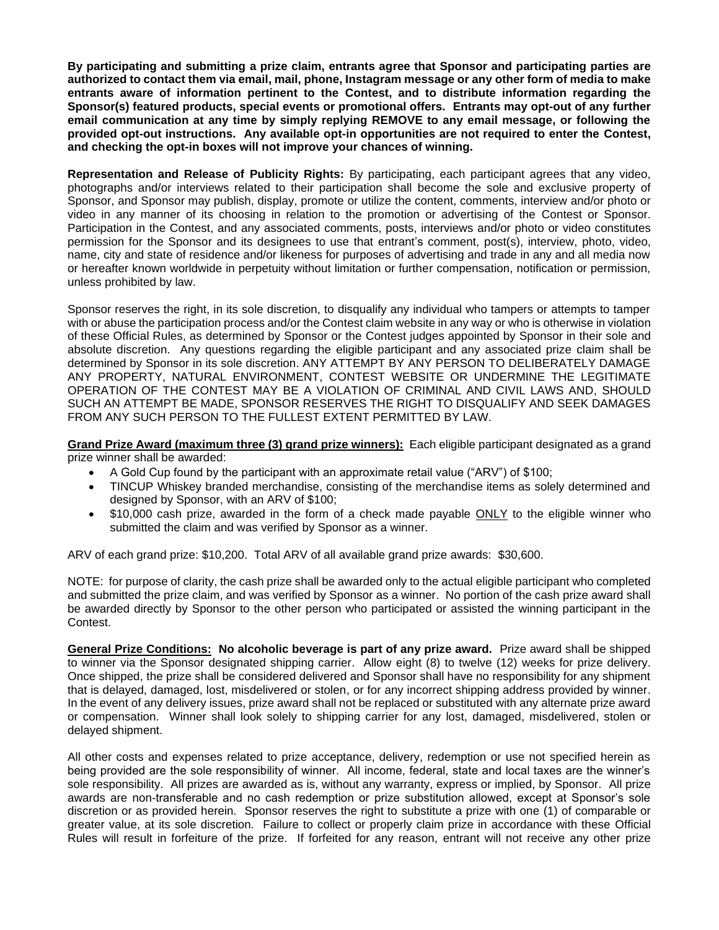**By participating and submitting a prize claim, entrants agree that Sponsor and participating parties are authorized to contact them via email, mail, phone, Instagram message or any other form of media to make entrants aware of information pertinent to the Contest, and to distribute information regarding the Sponsor(s) featured products, special events or promotional offers. Entrants may opt-out of any further email communication at any time by simply replying REMOVE to any email message, or following the provided opt-out instructions.****Any available opt-in opportunities are not required to enter the Contest, and checking the opt-in boxes will not improve your chances of winning.**

**Representation and Release of Publicity Rights:** By participating, each participant agrees that any video, photographs and/or interviews related to their participation shall become the sole and exclusive property of Sponsor, and Sponsor may publish, display, promote or utilize the content, comments, interview and/or photo or video in any manner of its choosing in relation to the promotion or advertising of the Contest or Sponsor. Participation in the Contest, and any associated comments, posts, interviews and/or photo or video constitutes permission for the Sponsor and its designees to use that entrant's comment, post(s), interview, photo, video, name, city and state of residence and/or likeness for purposes of advertising and trade in any and all media now or hereafter known worldwide in perpetuity without limitation or further compensation, notification or permission, unless prohibited by law.

Sponsor reserves the right, in its sole discretion, to disqualify any individual who tampers or attempts to tamper with or abuse the participation process and/or the Contest claim website in any way or who is otherwise in violation of these Official Rules, as determined by Sponsor or the Contest judges appointed by Sponsor in their sole and absolute discretion. Any questions regarding the eligible participant and any associated prize claim shall be determined by Sponsor in its sole discretion. ANY ATTEMPT BY ANY PERSON TO DELIBERATELY DAMAGE ANY PROPERTY, NATURAL ENVIRONMENT, CONTEST WEBSITE OR UNDERMINE THE LEGITIMATE OPERATION OF THE CONTEST MAY BE A VIOLATION OF CRIMINAL AND CIVIL LAWS AND, SHOULD SUCH AN ATTEMPT BE MADE, SPONSOR RESERVES THE RIGHT TO DISQUALIFY AND SEEK DAMAGES FROM ANY SUCH PERSON TO THE FULLEST EXTENT PERMITTED BY LAW.

**Grand Prize Award (maximum three (3) grand prize winners):** Each eligible participant designated as a grand prize winner shall be awarded:

- A Gold Cup found by the participant with an approximate retail value ("ARV") of \$100;
- TINCUP Whiskey branded merchandise, consisting of the merchandise items as solely determined and designed by Sponsor, with an ARV of \$100;
- \$10,000 cash prize, awarded in the form of a check made payable ONLY to the eligible winner who submitted the claim and was verified by Sponsor as a winner.

ARV of each grand prize: \$10,200. Total ARV of all available grand prize awards: \$30,600.

NOTE: for purpose of clarity, the cash prize shall be awarded only to the actual eligible participant who completed and submitted the prize claim, and was verified by Sponsor as a winner. No portion of the cash prize award shall be awarded directly by Sponsor to the other person who participated or assisted the winning participant in the Contest.

**General Prize Conditions: No alcoholic beverage is part of any prize award.** Prize award shall be shipped to winner via the Sponsor designated shipping carrier. Allow eight (8) to twelve (12) weeks for prize delivery. Once shipped, the prize shall be considered delivered and Sponsor shall have no responsibility for any shipment that is delayed, damaged, lost, misdelivered or stolen, or for any incorrect shipping address provided by winner. In the event of any delivery issues, prize award shall not be replaced or substituted with any alternate prize award or compensation. Winner shall look solely to shipping carrier for any lost, damaged, misdelivered, stolen or delayed shipment.

All other costs and expenses related to prize acceptance, delivery, redemption or use not specified herein as being provided are the sole responsibility of winner. All income, federal, state and local taxes are the winner's sole responsibility. All prizes are awarded as is, without any warranty, express or implied, by Sponsor. All prize awards are non-transferable and no cash redemption or prize substitution allowed, except at Sponsor's sole discretion or as provided herein. Sponsor reserves the right to substitute a prize with one (1) of comparable or greater value, at its sole discretion. Failure to collect or properly claim prize in accordance with these Official Rules will result in forfeiture of the prize. If forfeited for any reason, entrant will not receive any other prize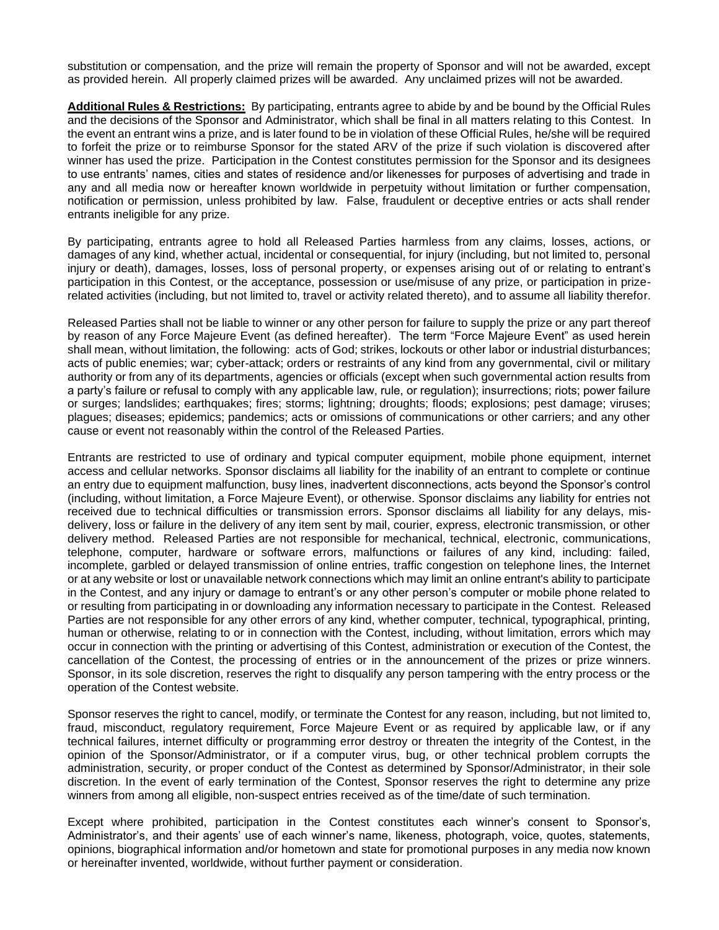substitution or compensation*,* and the prize will remain the property of Sponsor and will not be awarded, except as provided herein. All properly claimed prizes will be awarded. Any unclaimed prizes will not be awarded.

**Additional Rules & Restrictions:** By participating, entrants agree to abide by and be bound by the Official Rules and the decisions of the Sponsor and Administrator, which shall be final in all matters relating to this Contest. In the event an entrant wins a prize, and is later found to be in violation of these Official Rules, he/she will be required to forfeit the prize or to reimburse Sponsor for the stated ARV of the prize if such violation is discovered after winner has used the prize. Participation in the Contest constitutes permission for the Sponsor and its designees to use entrants' names, cities and states of residence and/or likenesses for purposes of advertising and trade in any and all media now or hereafter known worldwide in perpetuity without limitation or further compensation, notification or permission, unless prohibited by law. False, fraudulent or deceptive entries or acts shall render entrants ineligible for any prize.

By participating, entrants agree to hold all Released Parties harmless from any claims, losses, actions, or damages of any kind, whether actual, incidental or consequential, for injury (including, but not limited to, personal injury or death), damages, losses, loss of personal property, or expenses arising out of or relating to entrant's participation in this Contest, or the acceptance, possession or use/misuse of any prize, or participation in prizerelated activities (including, but not limited to, travel or activity related thereto), and to assume all liability therefor.

Released Parties shall not be liable to winner or any other person for failure to supply the prize or any part thereof by reason of any Force Majeure Event (as defined hereafter). The term "Force Majeure Event" as used herein shall mean, without limitation, the following: acts of God; strikes, lockouts or other labor or industrial disturbances; acts of public enemies; war; cyber-attack; orders or restraints of any kind from any governmental, civil or military authority or from any of its departments, agencies or officials (except when such governmental action results from a party's failure or refusal to comply with any applicable law, rule, or regulation); insurrections; riots; power failure or surges; landslides; earthquakes; fires; storms; lightning; droughts; floods; explosions; pest damage; viruses; plagues; diseases; epidemics; pandemics; acts or omissions of communications or other carriers; and any other cause or event not reasonably within the control of the Released Parties.

Entrants are restricted to use of ordinary and typical computer equipment, mobile phone equipment, internet access and cellular networks. Sponsor disclaims all liability for the inability of an entrant to complete or continue an entry due to equipment malfunction, busy lines, inadvertent disconnections, acts beyond the Sponsor's control (including, without limitation, a Force Majeure Event), or otherwise. Sponsor disclaims any liability for entries not received due to technical difficulties or transmission errors. Sponsor disclaims all liability for any delays, misdelivery, loss or failure in the delivery of any item sent by mail, courier, express, electronic transmission, or other delivery method. Released Parties are not responsible for mechanical, technical, electronic, communications, telephone, computer, hardware or software errors, malfunctions or failures of any kind, including: failed, incomplete, garbled or delayed transmission of online entries, traffic congestion on telephone lines, the Internet or at any website or lost or unavailable network connections which may limit an online entrant's ability to participate in the Contest, and any injury or damage to entrant's or any other person's computer or mobile phone related to or resulting from participating in or downloading any information necessary to participate in the Contest. Released Parties are not responsible for any other errors of any kind, whether computer, technical, typographical, printing, human or otherwise, relating to or in connection with the Contest, including, without limitation, errors which may occur in connection with the printing or advertising of this Contest, administration or execution of the Contest, the cancellation of the Contest, the processing of entries or in the announcement of the prizes or prize winners. Sponsor, in its sole discretion, reserves the right to disqualify any person tampering with the entry process or the operation of the Contest website.

Sponsor reserves the right to cancel, modify, or terminate the Contest for any reason, including, but not limited to, fraud, misconduct, regulatory requirement, Force Majeure Event or as required by applicable law, or if any technical failures, internet difficulty or programming error destroy or threaten the integrity of the Contest, in the opinion of the Sponsor/Administrator, or if a computer virus, bug, or other technical problem corrupts the administration, security, or proper conduct of the Contest as determined by Sponsor/Administrator, in their sole discretion. In the event of early termination of the Contest, Sponsor reserves the right to determine any prize winners from among all eligible, non-suspect entries received as of the time/date of such termination.

Except where prohibited, participation in the Contest constitutes each winner's consent to Sponsor's, Administrator's, and their agents' use of each winner's name, likeness, photograph, voice, quotes, statements, opinions, biographical information and/or hometown and state for promotional purposes in any media now known or hereinafter invented, worldwide, without further payment or consideration.